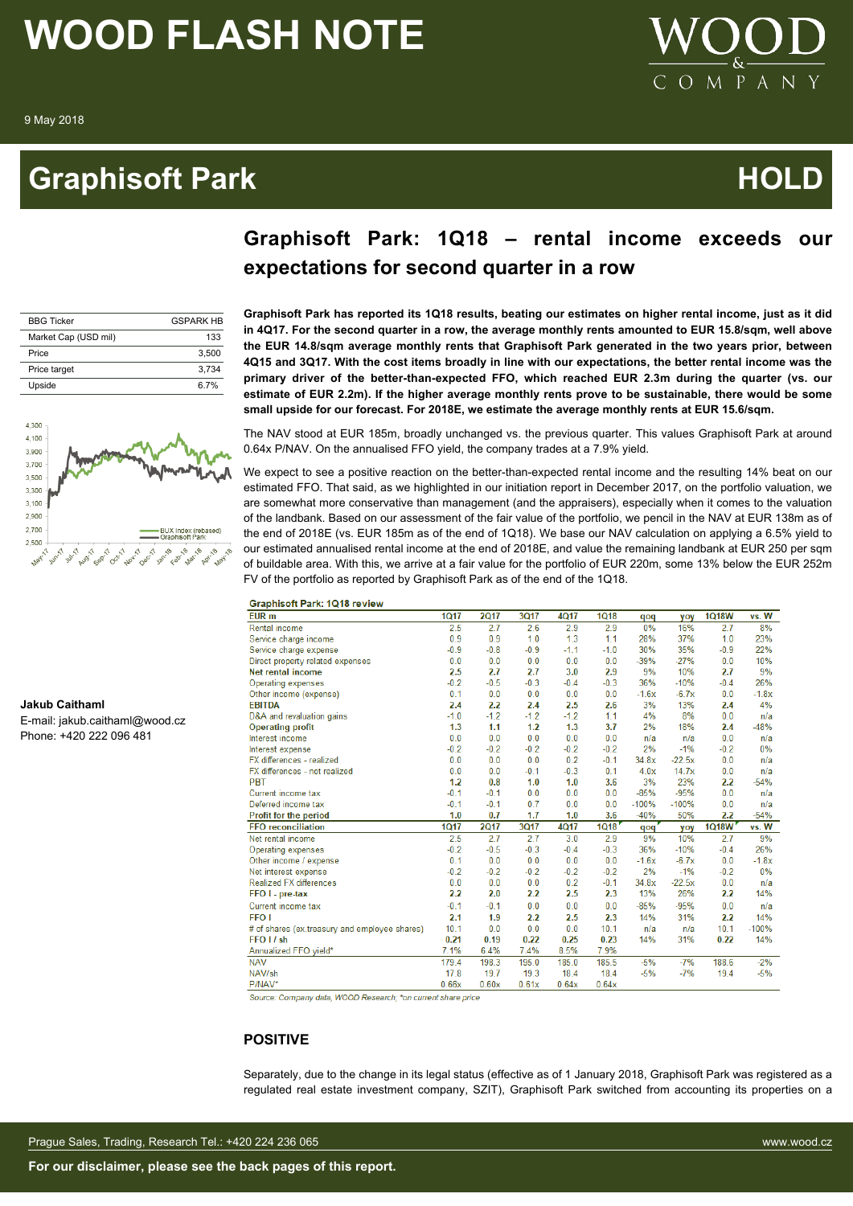# **Graphisoft Park Community Community Community Community Community Community Community Community Community Comm**



# **Graphisoft Park: 1Q18 – rental income exceeds our expectations for second quarter in a row**

**Graphisoft Park has reported its 1Q18 results, beating our estimates on higher rental income, just as it did in 4Q17. For the second quarter in a row, the average monthly rents amounted to EUR 15.8/sqm, well above the EUR 14.8/sqm average monthly rents that Graphisoft Park generated in the two years prior, between 4Q15 and 3Q17. With the cost items broadly in line with our expectations, the better rental income was the primary driver of the better-than-expected FFO, which reached EUR 2.3m during the quarter (vs. our estimate of EUR 2.2m). If the higher average monthly rents prove to be sustainable, there would be some**

| <b>BBG Ticker</b>    | <b>GSPARK HR</b> |
|----------------------|------------------|
| Market Cap (USD mil) | 133              |
| Price                | 3.500            |
| Price target         | 3.734            |
| Upside               | 6 7%             |



**Jakub Caithaml**

E-mail: jakub.caithaml@wood.cz Phone: +420 222 096 481

The NAV stood at EUR 185m, broadly unchanged vs. the previous quarter. This values Graphisoft Park at around 0.64x P/NAV. On the annualised FFO yield, the company trades at a 7.9% yield. We expect to see a positive reaction on the better-than-expected rental income and the resulting 14% beat on our estimated FFO. That said, as we highlighted in our initiation report in December 2017, on the portfolio valuation, we

**small upside for our forecast. For 2018E, we estimate the average monthly rents at EUR 15.6/sqm.**

are somewhat more conservative than management (and the appraisers), especially when it comes to the valuation of the landbank. Based on our assessment of the fair value of the portfolio, we pencil in the NAV at EUR 138m as of the end of 2018E (vs. EUR 185m as of the end of 1Q18). We base our NAV calculation on applying a 6.5% yield to our estimated annualised rental income at the end of 2018E, and value the remaining landbank at EUR 250 per sqm of buildable area. With this, we arrive at a fair value for the portfolio of EUR 220m, some 13% below the EUR 252m FV of the portfolio as reported by Graphisoft Park as of the end of the 1Q18.

| <b>Graphisoft Park: 1Q18 review</b> |  |  |
|-------------------------------------|--|--|
|                                     |  |  |

| <b>OIAPIIIJOILI AIN. IVID IEVIEW</b>          |             |             |             |        |             |         |            |              |         |
|-----------------------------------------------|-------------|-------------|-------------|--------|-------------|---------|------------|--------------|---------|
| EUR <sub>m</sub>                              | <b>1Q17</b> | <b>2Q17</b> | 3Q17        | 4Q17   | <b>1Q18</b> | qoq     | <b>VOV</b> | <b>1Q18W</b> | vs. W   |
| Rental income                                 | 2.5         | 2.7         | 2.6         | 2.9    | 2.9         | 0%      | 16%        | 2.7          | 8%      |
| Service charge income                         | 0.9         | 0.9         | 1.0         | 1.3    | 1.1         | 28%     | 37%        | 1.0          | 23%     |
| Service charge expense                        | $-0.9$      | $-0.8$      | $-0.9$      | $-1.1$ | $-1.0$      | 30%     | 35%        | $-0.9$       | 22%     |
| Direct property related expenses              | 0.0         | 0.0         | 0.0         | 0.0    | 0.0         | $-39%$  | $-27%$     | 0.0          | 10%     |
| <b>Net rental income</b>                      | 2.5         | 2.7         | 2.7         | 3.0    | 2.9         | 9%      | 10%        | 2.7          | 9%      |
| Operating expenses                            | $-0.2$      | $-0.5$      | $-0.3$      | $-0.4$ | $-0.3$      | 36%     | $-10%$     | $-0.4$       | 26%     |
| Other income (expense)                        | 0.1         | 0.0         | 0.0         | 0.0    | 0.0         | $-1.6x$ | $-6.7x$    | 0.0          | $-1.8x$ |
| <b>FBITDA</b>                                 | 2.4         | 2.2         | 2.4         | 2.5    | 2.6         | 3%      | 13%        | 2.4          | 4%      |
| D&A and revaluation gains                     | $-1.0$      | $-1.2$      | $-1.2$      | $-1.2$ | 1.1         | 4%      | 8%         | 0.0          | n/a     |
| <b>Operating profit</b>                       | 1.3         | 1.1         | 1.2         | 1.3    | 3.7         | 2%      | 18%        | 2.4          | $-48%$  |
| Interest income                               | 0.0         | 0.0         | 0.0         | 0.0    | 0.0         | n/a     | n/a        | 0.0          | n/a     |
| Interest expense                              | $-0.2$      | $-0.2$      | $-0.2$      | $-0.2$ | $-0.2$      | 2%      | $-1%$      | $-0.2$       | 0%      |
| FX differences - realized                     | 0.0         | 0.0         | 0.0         | 0.2    | $-0.1$      | 34.8x   | $-22.5x$   | 0.0          | n/a     |
| FX differences - not realized                 | 0.0         | 0.0         | $-0.1$      | $-0.3$ | 0.1         | 4.0x    | 14.7x      | 0.0          | n/a     |
| <b>PBT</b>                                    | 1.2         | 0.8         | 1.0         | 1.0    | 3.6         | 3%      | 23%        | 2.2          | $-54%$  |
| Current income tax                            | $-0.1$      | $-0.1$      | 0.0         | 0.0    | 0.0         | $-85%$  | $-95%$     | 0.0          | n/a     |
| Deferred income tax                           | $-0.1$      | $-0.1$      | 0.7         | 0.0    | 0.0         | $-100%$ | $-100%$    | 0.0          | n/a     |
| Profit for the period                         | 1.0         | 0.7         | 1.7         | 1.0    | 3.6         | $-40%$  | 50%        | 2.2          | $-54%$  |
| <b>FFO</b> reconciliation                     | <b>1Q17</b> | <b>2Q17</b> | <b>3Q17</b> | 4Q17   | 1Q18        | pop     | yoy        | 1Q18W        | vs. W   |
| Net rental income                             | 2.5         | 2.7         | 2.7         | 3.0    | 2.9         | 9%      | 10%        | 2.7          | 9%      |
| <b>Operating expenses</b>                     | $-0.2$      | $-0.5$      | $-0.3$      | $-0.4$ | $-0.3$      | 36%     | $-10%$     | $-0.4$       | 26%     |
| Other income / expense                        | 0.1         | 0.0         | 0.0         | 0.0    | 0.0         | $-1.6x$ | $-6.7x$    | 0.0          | $-1.8x$ |
| Net interest expense                          | $-0.2$      | $-0.2$      | $-0.2$      | $-0.2$ | $-0.2$      | 2%      | $-1%$      | $-0.2$       | 0%      |
| <b>Realized FX differences</b>                | 0.0         | 0.0         | 0.0         | 0.2    | $-0.1$      | 34.8x   | $-22.5x$   | 0.0          | n/a     |
| FFO I - pre-tax                               | 2.2         | 2.0         | 2.2         | 2.5    | 2.3         | 13%     | 26%        | 2.2          | 14%     |
| Current income tax                            | $-0.1$      | $-0.1$      | 0.0         | 0.0    | 0.0         | $-85%$  | $-95%$     | 0.0          | n/a     |
| <b>FFO1</b>                                   | 2.1         | 1.9         | 2.2         | 2.5    | 2.3         | 14%     | 31%        | 2.2          | 14%     |
| # of shares (ex.treasury and employee shares) | 10.1        | 0.0         | 0.0         | 0.0    | 10.1        | n/a     | n/a        | 10.1         | $-100%$ |
| FFO I / sh                                    | 0.21        | 0.19        | 0.22        | 0.25   | 0.23        | 14%     | 31%        | 0.22         | 14%     |
| Annualized FFO yield*                         | 7.1%        | 6.4%        | 7.4%        | 8.5%   | 7.9%        |         |            |              |         |
| <b>NAV</b>                                    | 179.4       | 198.3       | 195.0       | 185.0  | 185.5       | $-5%$   | $-7%$      | 188.6        | $-2%$   |
| NAV/sh                                        | 17.8        | 19.7        | 19.3        | 18.4   | 18.4        | $-5%$   | $-7%$      | 19.4         | $-5%$   |
| P/NAV*                                        | 0.66x       | 0.60x       | 0.61x       | 0.64x  | 0.64x       |         |            |              |         |

Source: Company data, WOOD Research; \*on current share price

## **POSITIVE**

Separately, due to the change in its legal status (effective as of 1 January 2018, Graphisoft Park was registered as a regulated real estate investment company, SZIT), Graphisoft Park switched from accounting its properties on a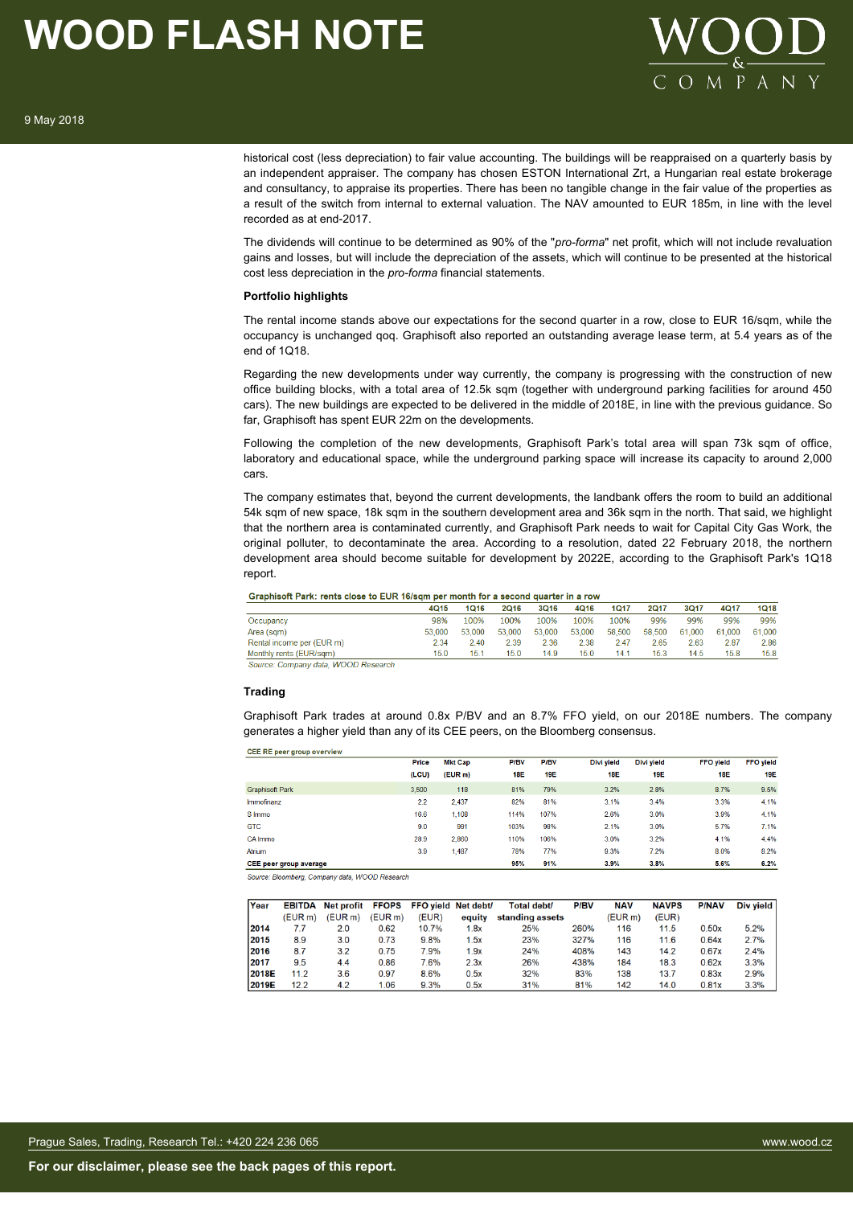

historical cost (less depreciation) to fair value accounting. The buildings will be reappraised on a quarterly basis by an independent appraiser. The company has chosen ESTON International Zrt, a Hungarian real estate brokerage and consultancy, to appraise its properties. There has been no tangible change in the fair value of the properties as a result of the switch from internal to external valuation. The NAV amounted to EUR 185m, in line with the level recorded as at end-2017.

The dividends will continue to be determined as 90% of the "*pro-forma*" net profit, which will not include revaluation gains and losses, but will include the depreciation of the assets, which will continue to be presented at the historical cost less depreciation in the *pro-forma* financial statements.

### **Portfolio highlights**

The rental income stands above our expectations for the second quarter in a row, close to EUR 16/sqm, while the occupancy is unchanged qoq. Graphisoft also reported an outstanding average lease term, at 5.4 years as of the end of 1Q18.

Regarding the new developments under way currently, the company is progressing with the construction of new office building blocks, with a total area of 12.5k sqm (together with underground parking facilities for around 450 cars). The new buildings are expected to be delivered in the middle of 2018E, in line with the previous guidance. So far, Graphisoft has spent EUR 22m on the developments.

Following the completion of the new developments, Graphisoft Park's total area will span 73k sqm of office, laboratory and educational space, while the underground parking space will increase its capacity to around 2,000 cars.

The company estimates that, beyond the current developments, the landbank offers the room to build an additional 54k sqm of new space, 18k sqm in the southern development area and 36k sqm in the north. That said, we highlight that the northern area is contaminated currently, and Graphisoft Park needs to wait for Capital City Gas Work, the original polluter, to decontaminate the area. According to a resolution, dated 22 February 2018, the northern development area should become suitable for development by 2022E, according to the Graphisoft Park's 1Q18 report.

| Graphisoft Park: rents close to EUR 16/sqm per month for a second quarter in a row |             |        |        |        |        |        |        |        |        |        |
|------------------------------------------------------------------------------------|-------------|--------|--------|--------|--------|--------|--------|--------|--------|--------|
|                                                                                    | <b>4Q15</b> | 1Q16   | 2Q16   | 3Q16   | 4Q16   | 1017   | 2017   | 3Q17   | 4Q17   | 1Q18   |
| Occupancy                                                                          | 98%         | 100%   | 100%   | 100%   | 100%   | 100%   | 99%    | 99%    | 99%    | 99%    |
| Area (sam)                                                                         | 53.000      | 53.000 | 53.000 | 53,000 | 53,000 | 58.500 | 58,500 | 61.000 | 61.000 | 61.000 |
| Rental income per (EUR m)                                                          | 2.34        | 2.40   | 2.39   | 2.36   | 2.38   | 2.47   | 2.65   | 2.63   | 2.87   | 2.86   |
| Monthly rents (EUR/sgm)                                                            | 15.0        | 15.1   | 15.0   | 14.9   | 15.0   | 141    | 15.3   | 14.5   | 15.8   | 15.8   |

Source: Company data, WOOD Research

### **Trading**

 $C = D = 1$ 

Graphisoft Park trades at around 0.8x P/BV and an 8.7% FFO yield, on our 2018E numbers. The company generates a higher yield than any of its CEE peers, on the Bloomberg consensus.

| $S = I$                |       |         |            |            |            |            |                  |                  |
|------------------------|-------|---------|------------|------------|------------|------------|------------------|------------------|
|                        | Price | Mkt Cap | P/BV       | P/BV       | Divi vield | Divi vield | <b>FFO</b> vield | <b>FFO</b> yield |
|                        | (LCU) | (EUR m) | <b>18E</b> | <b>19E</b> | <b>18E</b> | 19E        | <b>18E</b>       | <b>19E</b>       |
| <b>Graphisoft Park</b> | 3.500 | 118     | 81%        | 79%        | 3.2%       | 2.8%       | 8.7%             | 9.5%             |
| Immofinanz             | 2.2   | 2.437   | 82%        | 81%        | 3.1%       | 3.4%       | 3.3%             | 4.1%             |
| S Immo                 | 16.6  | 1.108   | 114%       | 107%       | 2.6%       | 3.0%       | 3.9%             | 4.1%             |
| <b>GTC</b>             | 9.0   | 991     | 103%       | 98%        | 2.1%       | 3.0%       | 5.7%             | 7.1%             |
| CA Immo                | 28.9  | 2.860   | 110%       | 106%       | 3.0%       | 3.2%       | 4.1%             | 4.4%             |
| Atrium                 | 3.9   | 1.487   | 78%        | 77%        | 9.3%       | 7.2%       | 8.0%             | 8.2%             |
| CEE peer group average |       |         | 95%        | 91%        | 3.9%       | 3.8%       | 5.6%             | 6.2%             |

Source: Bloomberg, Company data, WOOD Research

| Year  | <b>EBITDA</b> | Net profit FFOPS FFO yield Net debt/ |        |       |        | <b>Total debt/</b> | <b>P/BV</b> | <b>NAV</b> | <b>NAVPS</b> | <b>P/NAV</b> | Div yield |
|-------|---------------|--------------------------------------|--------|-------|--------|--------------------|-------------|------------|--------------|--------------|-----------|
|       | (EURm)        | (EURm)                               | (EURm) | (EUR) | equity | standing assets    |             | (EUR m)    | (EUR)        |              |           |
| 2014  | 7.7           | 2.0                                  | 0.62   | 10.7% | 1.8x   | 25%                | 260%        | 116        | 11.5         | 0.50x        | 5.2%      |
| 2015  | 8.9           | 3.0                                  | 0.73   | 9.8%  | 1.5x   | 23%                | 327%        | 116        | 11.6         | 0.64x        | 2.7%      |
| 2016  | 8.7           | 3.2                                  | 0.75   | 7.9%  | 1.9x   | 24%                | 408%        | 143        | 14.2         | 0.67x        | 2.4%      |
| 2017  | 9.5           | 4.4                                  | 0.86   | 7.6%  | 2.3x   | 26%                | 438%        | 184        | 18.3         | 0.62x        | 3.3%      |
| 2018E | 11.2          | 3.6                                  | 0.97   | 8.6%  | 0.5x   | 32%                | 83%         | 138        | 13.7         | 0.83x        | 2.9%      |
| 2019E | 12.2          | 4.2                                  | 1.06   | 9.3%  | 0.5x   | 31%                | 81%         | 142        | 14.0         | 0.81x        | 3.3%      |
|       |               |                                      |        |       |        |                    |             |            |              |              |           |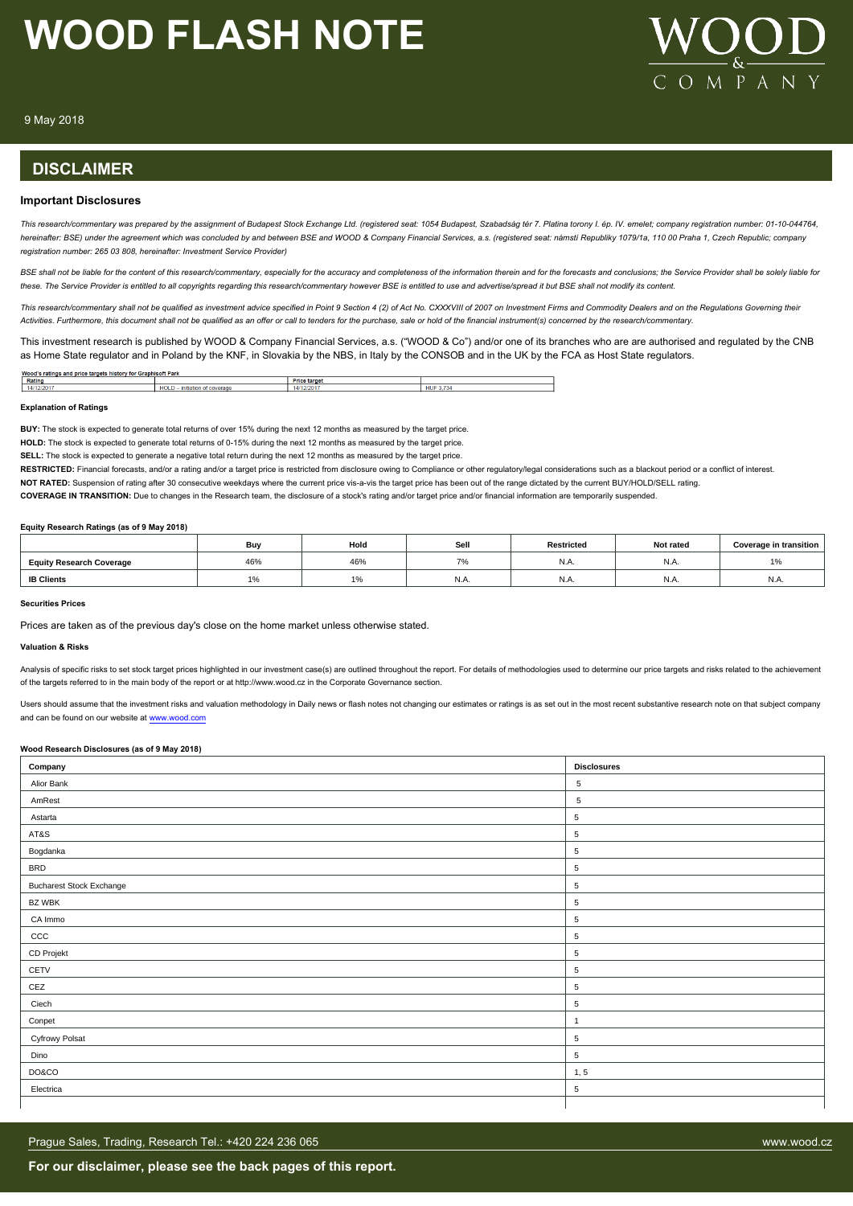

9 May 2018

# **DISCLAIMER**

### **Important Disclosures**

*This research/commentary was prepared by the assignment of Budapest Stock Exchange Ltd. (registered seat: 1054 Budapest, Szabadság tér 7. Platina torony I. ép. IV. emelet; company registration number: 01-10-044764, hereinafter: BSE) under the agreement which was concluded by and between BSE and WOOD & Company Financial Services, a.s. (registered seat: námstí Republiky 1079/1a, 110 00 Praha 1, Czech Republic; company registration number: 265 03 808, hereinafter: Investment Service Provider)*

BSE shall not be liable for the content of this research/commentary, especially for the accuracy and completeness of the information therein and for the forecasts and conclusions; the Service Provider shall be solely liabl *these. The Service Provider is entitled to all copyrights regarding this research/commentary however BSE is entitled to use and advertise/spread it but BSE shall not modify its content.*

*This research/commentary shall not be qualified as investment advice specified in Point 9 Section 4 (2) of Act No. CXXXVIII of 2007 on Investment Firms and Commodity Dealers and on the Regulations Governing their Activities. Furthermore, this document shall not be qualified as an offer or call to tenders for the purchase, sale or hold of the financial instrument(s) concerned by the research/commentary.*

This investment research is published by WOOD & Company Financial Services, a.s. ("WOOD & Co") and/or one of its branches who are are authorised and regulated by the CNB as Home State regulator and in Poland by the KNF, in Slovakia by the NBS, in Italy by the CONSOB and in the UK by the FCA as Host State regulators.

| Wood<br>* Graphisoft Park<br>history for<br>ratings and price<br>. Bosto<br>, un uots |                        |                  |                      |  |  |  |
|---------------------------------------------------------------------------------------|------------------------|------------------|----------------------|--|--|--|
| Rating                                                                                |                        | Price<br>∍ tarαe |                      |  |  |  |
| 14/12/2<br>12/201                                                                     | <b>HOLD</b><br>coverag | 1212017          | н<br>.,<br>пυ<br>- - |  |  |  |

#### **Explanation of Ratings**

**BUY:** The stock is expected to generate total returns of over 15% during the next 12 months as measured by the target price.

**HOLD:** The stock is expected to generate total returns of 0-15% during the next 12 months as measured by the target price.

**SELL:** The stock is expected to generate a negative total return during the next 12 months as measured by the target price.

RESTRICTED: Financial forecasts, and/or a rating and/or a target price is restricted from disclosure owing to Compliance or other regulatory/legal considerations such as a blackout period or a conflict of interest.

**NOT RATED:** Suspension of rating after 30 consecutive weekdays where the current price vis-a-vis the target price has been out of the range dictated by the current BUY/HOLD/SELL rating.

**COVERAGE IN TRANSITION:** Due to changes in the Research team, the disclosure of a stock's rating and/or target price and/or financial information are temporarily suspended.

#### **Equity Research Ratings (as of 9 May 2018)**

|                                 | Buv                    | Hold                     | Sell          | <b>Restricted</b> | Not rated | <b>Coverage in transition</b> |
|---------------------------------|------------------------|--------------------------|---------------|-------------------|-----------|-------------------------------|
| <b>Equity Research Coverage</b> | 46%                    | 46%                      | $\rightarrow$ | N.A.              | IN.A      | $\frac{1}{2}$                 |
| <b>IB Clients</b>               | $\overline{A}$<br>l 7o | $\Delta$ $\Omega$<br>1/0 | N.A.          | N.A.              | IN.A      | N.A.                          |

### **Securities Prices**

Prices are taken as of the previous day's close on the home market unless otherwise stated.

#### **Valuation & Risks**

Analysis of specific risks to set stock target prices highlighted in our investment case(s) are outlined throughout the report. For details of methodologies used to determine our price targets and risks related to the achi of the targets referred to in the main body of the report or at http://www.wood.cz in the Corporate Governance section.

Users should assume that the investment risks and valuation methodology in Daily news or flash notes not changing our estimates or ratings is as set out in the most recent substantive research note on that subject company and can be found on our website at [www.wood.com](https://research.wood.cz)

### **Wood Research Disclosures (as of 9 May 2018)**

| Company                         | <b>Disclosures</b> |
|---------------------------------|--------------------|
| Alior Bank                      | 5                  |
| AmRest                          | 5                  |
| Astarta                         | $\sqrt{5}$         |
| AT&S                            | 5                  |
| Bogdanka                        | $\sqrt{5}$         |
| <b>BRD</b>                      | 5                  |
| <b>Bucharest Stock Exchange</b> | $\sqrt{5}$         |
| BZ WBK                          | $\sqrt{5}$         |
| CA Immo                         | 5                  |
| CCC                             | $\sqrt{5}$         |
| CD Projekt                      | 5                  |
| CETV                            | $\,$ 5 $\,$        |
| CEZ                             | $\sqrt{5}$         |
| Ciech                           | 5                  |
| Conpet                          | $\overline{1}$     |
| Cyfrowy Polsat                  | $\,$ 5 $\,$        |
| Dino                            | $\,$ 5 $\,$        |
| DO&CO                           | 1, 5               |
| Electrica                       | 5                  |
|                                 |                    |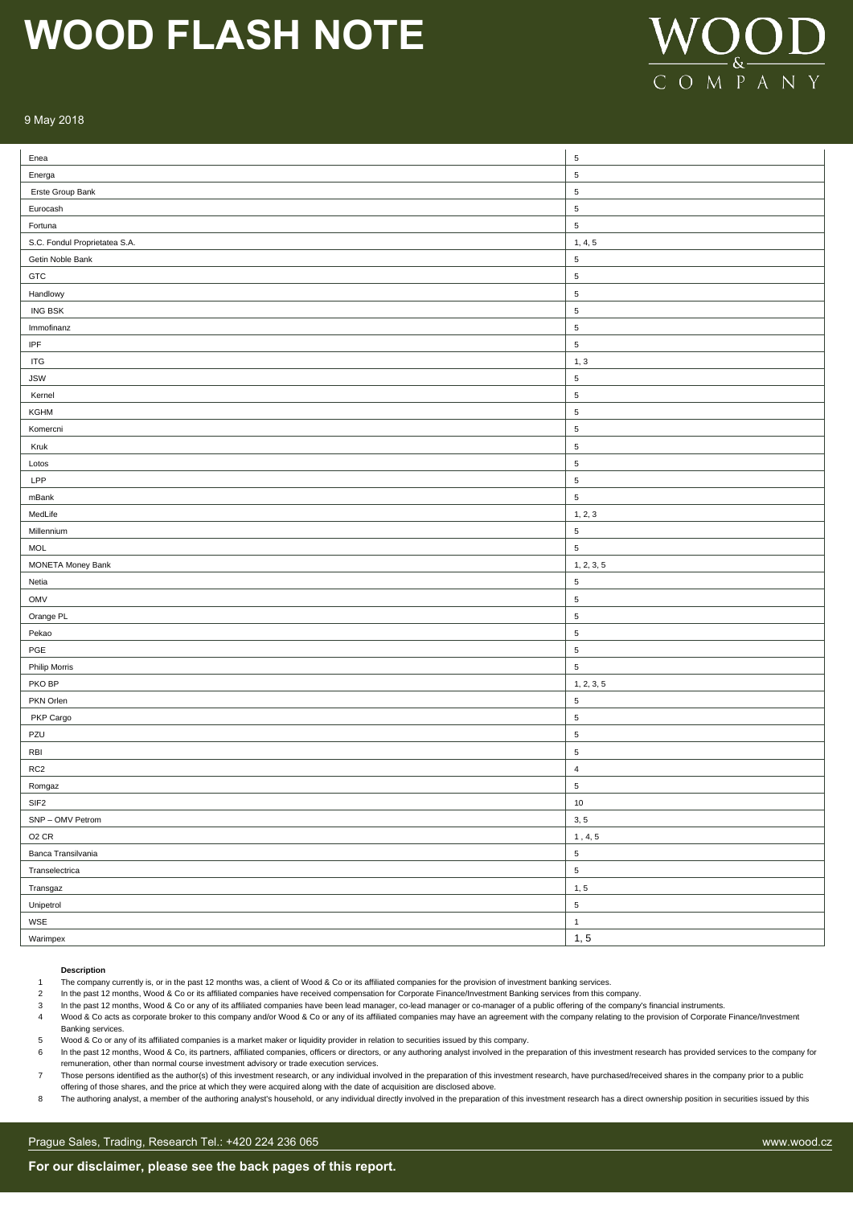

### 9 May 2018

| Enea                          | $\sqrt{5}$     |
|-------------------------------|----------------|
| Energa                        | $\overline{5}$ |
| Erste Group Bank              | $\sqrt{5}$     |
| Eurocash                      | $\sqrt{5}$     |
| Fortuna                       | $\sqrt{5}$     |
| S.C. Fondul Proprietatea S.A. | 1, 4, 5        |
| Getin Noble Bank              | $\sqrt{5}$     |
| GTC                           | $\sqrt{5}$     |
| Handlowy                      | $\sqrt{5}$     |
| ING BSK                       | $\sqrt{5}$     |
| Immofinanz                    | $\,$ 5 $\,$    |
| IPF                           | $\sqrt{5}$     |
| <b>ITG</b>                    | 1, 3           |
| <b>JSW</b>                    | $\sqrt{5}$     |
| Kernel                        | $\sqrt{5}$     |
| KGHM                          | $\sqrt{5}$     |
| Komercni                      | $\sqrt{5}$     |
| Kruk                          | $\sqrt{5}$     |
| Lotos                         | $\,$ 5 $\,$    |
| LPP                           | $\,$ 5 $\,$    |
| mBank                         | $\,$ 5 $\,$    |
| MedLife                       | 1, 2, 3        |
| Millennium                    | $\sqrt{5}$     |
| <b>MOL</b>                    | $\sqrt{5}$     |
| <b>MONETA Money Bank</b>      | 1, 2, 3, 5     |
| Netia                         | $\sqrt{5}$     |
| OMV                           | $\sqrt{5}$     |
| Orange PL                     | $\sqrt{5}$     |
| Pekao                         | $\sqrt{5}$     |
| PGE                           | $\,$ 5 $\,$    |
| <b>Philip Morris</b>          | $\overline{5}$ |
| PKO BP                        | 1, 2, 3, 5     |
| PKN Orlen                     | $\sqrt{5}$     |
| PKP Cargo                     | $\sqrt{5}$     |
| PZU                           | $\sqrt{5}$     |
| RBI                           | $\,$ 5 $\,$    |
| RC <sub>2</sub>               | $\overline{4}$ |
| Romgaz                        | 5              |
| SIF <sub>2</sub>              | $10$           |
| SNP - OMV Petrom              | 3, 5           |
| O <sub>2</sub> CR             | 1, 4, 5        |
| Banca Transilvania            | $\,$ 5 $\,$    |
| Transelectrica                | $\,$ 5 $\,$    |
| Transgaz                      | 1, 5           |
| Unipetrol                     | $\,$ 5 $\,$    |
| WSE                           | $\mathbf{1}$   |
| Warimpex                      | 1, 5           |

#### **Description**

1 The company currently is, or in the past 12 months was, a client of Wood & Co or its affiliated companies for the provision of investment banking services.

2 In the past 12 months, Wood & Co or its affiliated companies have received compensation for Corporate Finance/Investment Banking services from this company.

3 In the past 12 months, Wood & Co or any of its affiliated companies have been lead manager, co-lead manager or co-manager of a public offering of the company's financial instruments.

Wood & Co acts as corporate broker to this company and/or Wood & Co or any of its affiliated companies may have an agreement with the company relating to the provision of Corporate Finance/Investment Banking services.

- 5 Wood & Co or any of its affiliated companies is a market maker or liquidity provider in relation to securities issued by this company.
- 6 In the past 12 months, Wood & Co, its partners, affiliated companies, officers or directors, or any authoring analyst involved in the preparation of this investment research has provided services to the company for remuneration, other than normal course investment advisory or trade execution services.
- 7 Those persons identified as the author(s) of this investment research, or any individual involved in the preparation of this investment research, have purchased/received shares in the company prior to a public offering of those shares, and the price at which they were acquired along with the date of acquisition are disclosed above.
- 8 The authoring analyst, a member of the authoring analyst's household, or any individual directly involved in the preparation of this investment research has a direct ownership position in securities issued by this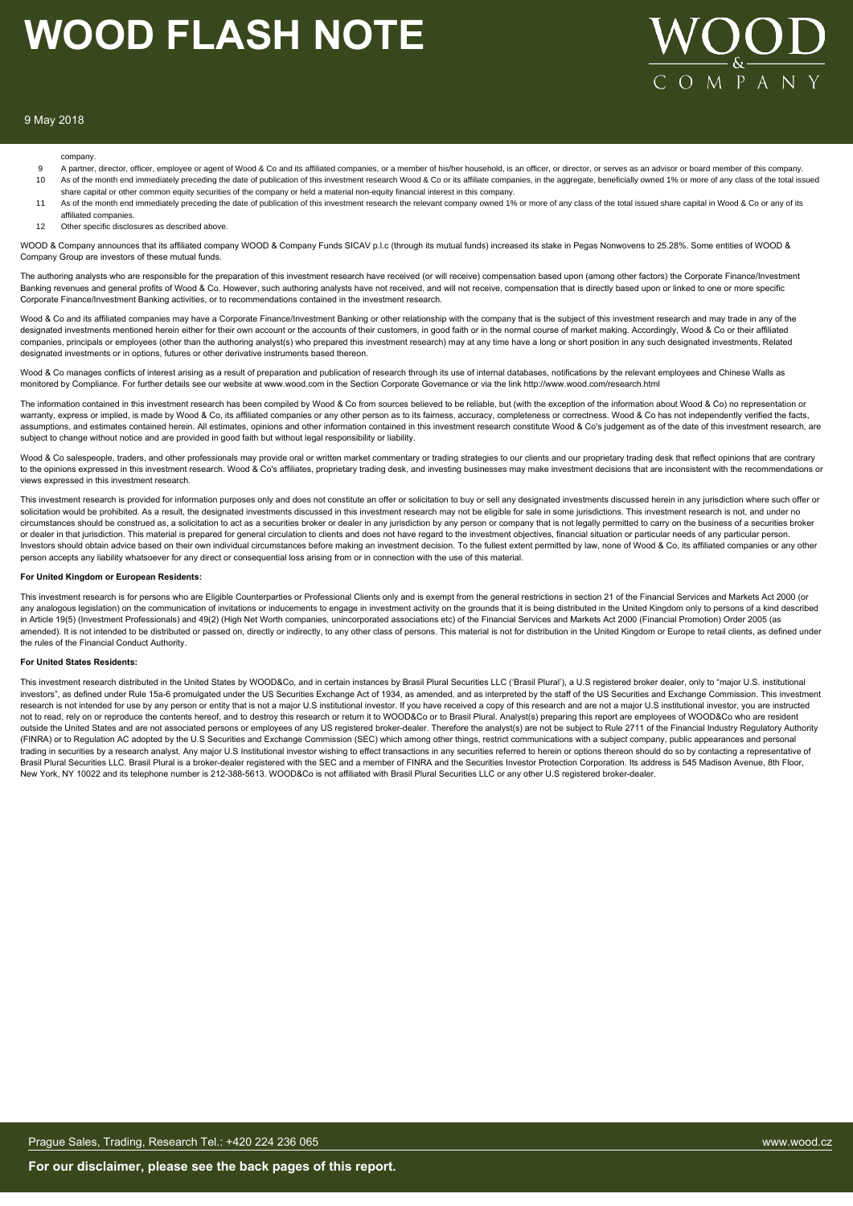

#### 9 May 2018

#### company.

- 9 A partner, director, officer, employee or agent of Wood & Co and its affiliated companies, or a member of his/her household, is an officer, or director, or serves as an advisor or board member of this company.<br>As of the As of the month end immediately preceding the date of publication of this investment research Wood & Co or its affiliate companies, in the aggregate, beneficially owned 1% or more of any class of the total issued share capital or other common equity securities of the company or held a material non-equity financial interest in this company.
- 11 As of the month end immediately preceding the date of publication of this investment research the relevant company owned 1% or more of any class of the total issued share capital in Wood & Co or any of its affiliated companies.
- 12 Other specific disclosures as described above

WOOD & Company announces that its affiliated company WOOD & Company Funds SICAV p.l.c (through its mutual funds) increased its stake in Pegas Nonwovens to 25.28%. Some entities of WOOD & Company Group are investors of these mutual funds.

The authoring analysts who are responsible for the preparation of this investment research have received (or will receive) compensation based upon (among other factors) the Corporate Finance/Investment Banking revenues and general profits of Wood & Co. However, such authoring analysts have not received, and will not receive, compensation that is directly based upon or linked to one or more specific Corporate Finance/Investment Banking activities, or to recommendations contained in the investment research.

Wood & Co and its affiliated companies may have a Corporate Finance/Investment Banking or other relationship with the company that is the subject of this investment research and may trade in any of the designated investments mentioned herein either for their own account or the accounts of their customers, in good faith or in the normal course of market making. Accordingly, Wood & Co or their affiliated companies, principals or employees (other than the authoring analyst(s) who prepared this investment research) may at any time have a long or short position in any such designated investments, Related designated investments or in options, futures or other derivative instruments based thereon.

Wood & Co manages conflicts of interest arising as a result of preparation and publication of research through its use of internal databases, notifications by the relevant employees and Chinese Walls as monitored by Compliance. For further details see our website at www.wood.com in the Section Corporate Governance or via the link http://www.wood.com/research.html

The information contained in this investment research has been compiled by Wood & Co from sources believed to be reliable, but (with the exception of the information about Wood & Co) no representation or warranty, express or implied, is made by Wood & Co, its affiliated companies or any other person as to its fairness, accuracy, completeness or correctness. Wood & Co has not independently verified the facts, assumptions, and estimates contained herein. All estimates, opinions and other information contained in this investment research constitute Wood & Co's judgement as of the date of this investment research, are subject to change without notice and are provided in good faith but without legal responsibility or liability.

Wood & Co salespeople, traders, and other professionals may provide oral or written market commentary or trading strategies to our clients and our proprietary trading desk that reflect opinions that are contrary to the opinions expressed in this investment research. Wood & Co's affiliates, proprietary trading desk, and investing businesses may make investment decisions that are inconsistent with the recommendations or views expressed in this investment research.

This investment research is provided for information purposes only and does not constitute an offer or solicitation to buy or sell any designated investments discussed herein in any jurisdiction where such offer or<br>solicit circumstances should be construed as, a solicitation to act as a securities broker or dealer in any jurisdiction by any person or company that is not legally permitted to carry on the business of a securities broker or dealer in that jurisdiction. This material is prepared for general circulation to clients and does not have regard to the investment objectives, financial situation or particular needs of any particular person. Investors should obtain advice based on their own individual circumstances before making an investment decision. To the fullest extent permitted by law, none of Wood & Co, its affiliated companies or any other person accepts any liability whatsoever for any direct or consequential loss arising from or in connection with the use of this material.

#### **For United Kingdom or European Residents:**

This investment research is for persons who are Eligible Counterparties or Professional Clients only and is exempt from the general restrictions in section 21 of the Financial Services and Markets Act 2000 (or any analogous legislation) on the communication of invitations or inducements to engage in investment activity on the grounds that it is being distributed in the United Kingdom only to persons of a kind described<br>in Articl amended). It is not intended to be distributed or passed on, directly or indirectly, to any other class of persons. This material is not for distribution in the United Kingdom or Europe to retail clients, as defined under the rules of the Financial Conduct Authority.

#### **For United States Residents:**

This investment research distributed in the United States by WOOD&Co, and in certain instances by Brasil Plural Securities LLC ('Brasil Plural'), a U.S registered broker dealer, only to "major U.S. institutional investors", as defined under Rule 15a-6 promulgated under the US Securities Exchange Act of 1934, as amended, and as interpreted by the staff of the US Securities and Exchange Commission. This investment research is not intended for use by any person or entity that is not a major U.S institutional investor. If you have received a copy of this research and are not a major U.S institutional investor, you are instructed not to read, rely on or reproduce the contents hereof, and to destroy this research or return it to WOOD&Co or to Brasil Plural. Analyst(s) preparing this report are employees of WOOD&Co who are resident outside the United States and are not associated persons or employees of any US registered broker-dealer. Therefore the analyst(s) are not be subject to Rule 2711 of the Financial Industry Regulatory Authority (FINRA) or to Regulation AC adopted by the U.S Securities and Exchange Commission (SEC) which among other things, restrict communications with a subject company, public appearances and personal trading in securities by a research analyst. Any major U.S Institutional investor wishing to effect transactions in any securities referred to herein or options thereon should do so by contacting a representative of Brasil Plural Securities LLC. Brasil Plural is a broker-dealer registered with the SEC and a member of FINRA and the Securities Investor Protection Corporation. Its address is 545 Madison Avenue, 8th Floor, New York, NY 10022 and its telephone number is 212-388-5613. WOOD&Co is not affiliated with Brasil Plural Securities LLC or any other U.S registered broker-dealer.